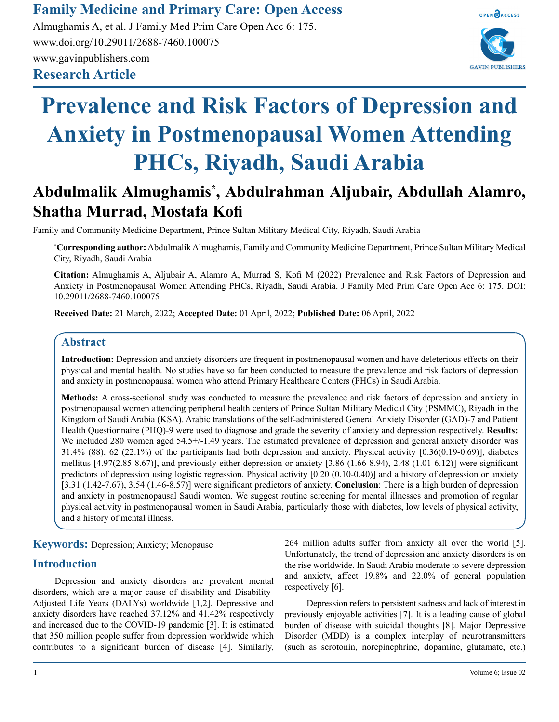# **Family Medicine and Primary Care: Open Access**

**Research Article** Almughamis A, et al. J Family Med Prim Care Open Acc 6: 175. www.doi.org/10.29011/2688-7460.100075 www.gavinpublishers.com



# **Prevalence and Risk Factors of Depression and Anxiety in Postmenopausal Women Attending PHCs, Riyadh, Saudi Arabia**

# **Abdulmalik Almughamis\* , Abdulrahman Aljubair, Abdullah Alamro, Shatha Murrad, Mostafa Kofi**

Family and Community Medicine Department, Prince Sultan Military Medical City, Riyadh, Saudi Arabia

**\* Corresponding author:** Abdulmalik Almughamis, Family and Community Medicine Department, Prince Sultan Military Medical City, Riyadh, Saudi Arabia

**Citation:** Almughamis A, Aljubair A, Alamro A, Murrad S, Kofi M (2022) Prevalence and Risk Factors of Depression and Anxiety in Postmenopausal Women Attending PHCs, Riyadh, Saudi Arabia. J Family Med Prim Care Open Acc 6: 175. DOI: 10.29011/2688-7460.100075

**Received Date:** 21 March, 2022; **Accepted Date:** 01 April, 2022; **Published Date:** 06 April, 2022

# **Abstract**

**Introduction:** Depression and anxiety disorders are frequent in postmenopausal women and have deleterious effects on their physical and mental health. No studies have so far been conducted to measure the prevalence and risk factors of depression and anxiety in postmenopausal women who attend Primary Healthcare Centers (PHCs) in Saudi Arabia.

**Methods:** A cross-sectional study was conducted to measure the prevalence and risk factors of depression and anxiety in postmenopausal women attending peripheral health centers of Prince Sultan Military Medical City (PSMMC), Riyadh in the Kingdom of Saudi Arabia (KSA). Arabic translations of the self-administered General Anxiety Disorder (GAD)-7 and Patient Health Questionnaire (PHQ)-9 were used to diagnose and grade the severity of anxiety and depression respectively. **Results:** We included 280 women aged 54.5+/-1.49 years. The estimated prevalence of depression and general anxiety disorder was 31.4% (88). 62 (22.1%) of the participants had both depression and anxiety. Physical activity [0.36(0.19-0.69)], diabetes mellitus  $[4.97(2.85-8.67)]$ , and previously either depression or anxiety  $[3.86 (1.66-8.94), 2.48 (1.01-6.12)]$  were significant predictors of depression using logistic regression. Physical activity [0.20 (0.10-0.40)] and a history of depression or anxiety [3.31 (1.42-7.67), 3.54 (1.46-8.57)] were significant predictors of anxiety. **Conclusion**: There is a high burden of depression and anxiety in postmenopausal Saudi women. We suggest routine screening for mental illnesses and promotion of regular physical activity in postmenopausal women in Saudi Arabia, particularly those with diabetes, low levels of physical activity, and a history of mental illness.

**Keywords:** Depression; Anxiety; Menopause

# **Introduction**

Depression and anxiety disorders are prevalent mental disorders, which are a major cause of disability and Disability-Adjusted Life Years (DALYs) worldwide [1,2]. Depressive and anxiety disorders have reached 37.12% and 41.42% respectively and increased due to the COVID-19 pandemic [3]. It is estimated that 350 million people suffer from depression worldwide which contributes to a significant burden of disease [4]. Similarly,

264 million adults suffer from anxiety all over the world [5]. Unfortunately, the trend of depression and anxiety disorders is on the rise worldwide. In Saudi Arabia moderate to severe depression and anxiety, affect 19.8% and 22.0% of general population respectively [6].

Depression refers to persistent sadness and lack of interest in previously enjoyable activities [7]. It is a leading cause of global burden of disease with suicidal thoughts [8]. Major Depressive Disorder (MDD) is a complex interplay of neurotransmitters (such as serotonin, norepinephrine, dopamine, glutamate, etc.)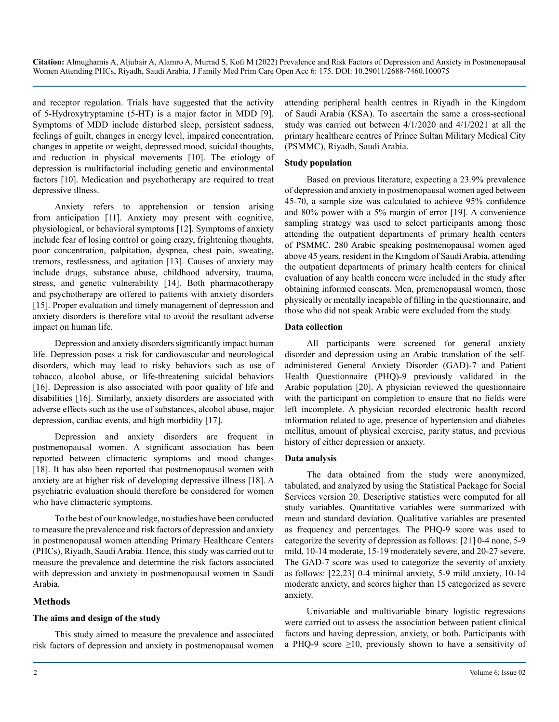and receptor regulation. Trials have suggested that the activity of 5-Hydroxytryptamine (5-HT) is a major factor in MDD [9]. Symptoms of MDD include disturbed sleep, persistent sadness, feelings of guilt, changes in energy level, impaired concentration, changes in appetite or weight, depressed mood, suicidal thoughts, and reduction in physical movements [10]. The etiology of depression is multifactorial including genetic and environmental factors [10]. Medication and psychotherapy are required to treat depressive illness.

Anxiety refers to apprehension or tension arising from anticipation [11]. Anxiety may present with cognitive, physiological, or behavioral symptoms [12]. Symptoms of anxiety include fear of losing control or going crazy, frightening thoughts, poor concentration, palpitation, dyspnea, chest pain, sweating, tremors, restlessness, and agitation [13]. Causes of anxiety may include drugs, substance abuse, childhood adversity, trauma, stress, and genetic vulnerability [14]. Both pharmacotherapy and psychotherapy are offered to patients with anxiety disorders [15]. Proper evaluation and timely management of depression and anxiety disorders is therefore vital to avoid the resultant adverse impact on human life.

Depression and anxiety disorders significantly impact human life. Depression poses a risk for cardiovascular and neurological disorders, which may lead to risky behaviors such as use of tobacco, alcohol abuse, or life-threatening suicidal behaviors [16]. Depression is also associated with poor quality of life and disabilities [16]. Similarly, anxiety disorders are associated with adverse effects such as the use of substances, alcohol abuse, major depression, cardiac events, and high morbidity [17].

Depression and anxiety disorders are frequent in postmenopausal women. A significant association has been reported between climacteric symptoms and mood changes [18]. It has also been reported that postmenopausal women with anxiety are at higher risk of developing depressive illness [18]. A psychiatric evaluation should therefore be considered for women who have climacteric symptoms.

To the best of our knowledge, no studies have been conducted to measure the prevalence and risk factors of depression and anxiety in postmenopausal women attending Primary Healthcare Centers (PHCs), Riyadh, Saudi Arabia. Hence, this study was carried out to measure the prevalence and determine the risk factors associated with depression and anxiety in postmenopausal women in Saudi Arabia.

# **Methods**

## **The aims and design of the study**

This study aimed to measure the prevalence and associated risk factors of depression and anxiety in postmenopausal women

attending peripheral health centres in Riyadh in the Kingdom of Saudi Arabia (KSA). To ascertain the same a cross-sectional study was carried out between 4/1/2020 and 4/1/2021 at all the primary healthcare centres of Prince Sultan Military Medical City (PSMMC), Riyadh, Saudi Arabia.

# **Study population**

Based on previous literature, expecting a 23.9% prevalence of depression and anxiety in postmenopausal women aged between 45-70, a sample size was calculated to achieve 95% confidence and 80% power with a 5% margin of error [19]. A convenience sampling strategy was used to select participants among those attending the outpatient departments of primary health centers of PSMMC. 280 Arabic speaking postmenopausal women aged above 45 years, resident in the Kingdom of Saudi Arabia, attending the outpatient departments of primary health centers for clinical evaluation of any health concern were included in the study after obtaining informed consents. Men, premenopausal women, those physically or mentally incapable of filling in the questionnaire, and those who did not speak Arabic were excluded from the study.

#### **Data collection**

All participants were screened for general anxiety disorder and depression using an Arabic translation of the selfadministered General Anxiety Disorder (GAD)-7 and Patient Health Questionnaire (PHQ)-9 previously validated in the Arabic population [20]. A physician reviewed the questionnaire with the participant on completion to ensure that no fields were left incomplete. A physician recorded electronic health record information related to age, presence of hypertension and diabetes mellitus, amount of physical exercise, parity status, and previous history of either depression or anxiety.

#### **Data analysis**

The data obtained from the study were anonymized, tabulated, and analyzed by using the Statistical Package for Social Services version 20. Descriptive statistics were computed for all study variables. Quantitative variables were summarized with mean and standard deviation. Qualitative variables are presented as frequency and percentages. The PHQ-9 score was used to categorize the severity of depression as follows: [21] 0-4 none, 5-9 mild, 10-14 moderate, 15-19 moderately severe, and 20-27 severe. The GAD-7 score was used to categorize the severity of anxiety as follows: [22,23] 0-4 minimal anxiety, 5-9 mild anxiety, 10-14 moderate anxiety, and scores higher than 15 categorized as severe anxiety.

Univariable and multivariable binary logistic regressions were carried out to assess the association between patient clinical factors and having depression, anxiety, or both. Participants with a PHQ-9 score  $\geq$ 10, previously shown to have a sensitivity of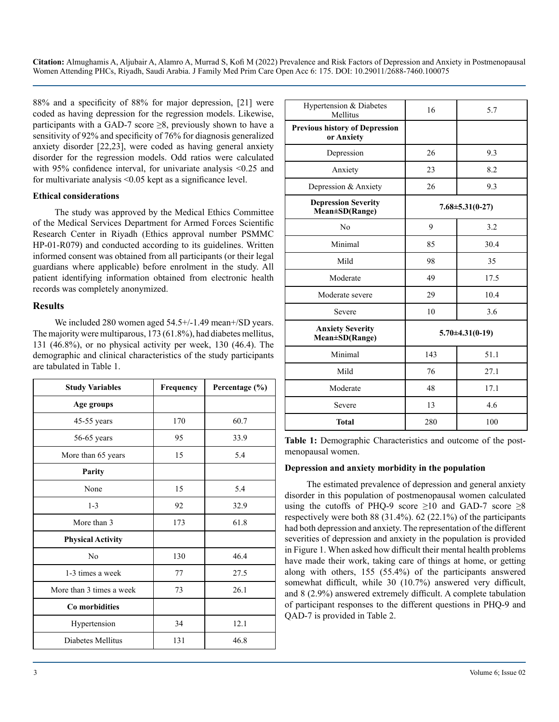88% and a specificity of 88% for major depression, [21] were coded as having depression for the regression models. Likewise, participants with a GAD-7 score  $\geq$ 8, previously shown to have a sensitivity of 92% and specificity of 76% for diagnosis generalized anxiety disorder [22,23], were coded as having general anxiety disorder for the regression models. Odd ratios were calculated with 95% confidence interval, for univariate analysis <0.25 and for multivariate analysis <0.05 kept as a significance level.

#### **Ethical considerations**

The study was approved by the Medical Ethics Committee of the Medical Services Department for Armed Forces Scientific Research Center in Riyadh (Ethics approval number PSMMC HP-01-R079) and conducted according to its guidelines. Written informed consent was obtained from all participants (or their legal guardians where applicable) before enrolment in the study. All patient identifying information obtained from electronic health records was completely anonymized.

#### **Results**

We included 280 women aged  $54.5+/1.49$  mean $+$ /SD years. The majority were multiparous, 173 (61.8%), had diabetes mellitus, 131 (46.8%), or no physical activity per week, 130 (46.4). The demographic and clinical characteristics of the study participants are tabulated in Table 1.

| <b>Study Variables</b>   | Frequency | Percentage (%) |
|--------------------------|-----------|----------------|
| Age groups               |           |                |
| 45-55 years              | 170       | 60.7           |
| 56-65 years              | 95        | 33.9           |
| More than 65 years       | 15        | 5.4            |
| Parity                   |           |                |
| None                     | 15        | 5.4            |
| $1 - 3$                  | 92        | 32.9           |
| More than 3              | 173       | 61.8           |
| <b>Physical Activity</b> |           |                |
| N <sub>0</sub>           | 130       | 46.4           |
| 1-3 times a week         | 77        | 27.5           |
| More than 3 times a week | 73        | 26.1           |
| Co morbidities           |           |                |
| Hypertension             | 34        | 12.1           |
| Diabetes Mellitus        | 131       | 46.8           |

| Hypertension & Diabetes<br>Mellitus                 | 16                    | 5.7  |  |
|-----------------------------------------------------|-----------------------|------|--|
| <b>Previous history of Depression</b><br>or Anxiety |                       |      |  |
| Depression                                          | 26                    | 9.3  |  |
| Anxiety                                             | 23                    | 8.2  |  |
| Depression & Anxiety                                | 26                    | 9.3  |  |
| <b>Depression Severity</b><br>Mean±SD(Range)        | $7.68 \pm 5.31(0-27)$ |      |  |
| No                                                  | 9                     | 3.2  |  |
| Minimal                                             | 85                    | 30.4 |  |
| Mild                                                | 98                    | 35   |  |
| Moderate                                            | 49                    | 17.5 |  |
| Moderate severe                                     | 29                    | 10.4 |  |
| Severe                                              | 10                    | 3.6  |  |
| <b>Anxiety Severity</b><br>Mean±SD(Range)           | $5.70 \pm 4.31(0-19)$ |      |  |
| Minimal                                             | 143                   | 51.1 |  |
| Mild                                                | 76                    | 27.1 |  |
| Moderate                                            | 48                    | 17.1 |  |
| Severe                                              | 13                    | 4.6  |  |
| <b>Total</b>                                        | 280                   | 100  |  |

**Table 1:** Demographic Characteristics and outcome of the postmenopausal women.

#### **Depression and anxiety morbidity in the population**

The estimated prevalence of depression and general anxiety disorder in this population of postmenopausal women calculated using the cutoffs of PHQ-9 score  $\geq 10$  and GAD-7 score  $\geq 8$ respectively were both 88 (31.4%). 62 (22.1%) of the participants had both depression and anxiety. The representation of the different severities of depression and anxiety in the population is provided in Figure 1. When asked how difficult their mental health problems have made their work, taking care of things at home, or getting along with others, 155 (55.4%) of the participants answered somewhat difficult, while 30 (10.7%) answered very difficult, and 8 (2.9%) answered extremely difficult. A complete tabulation of participant responses to the different questions in PHQ-9 and QAD-7 is provided in Table 2.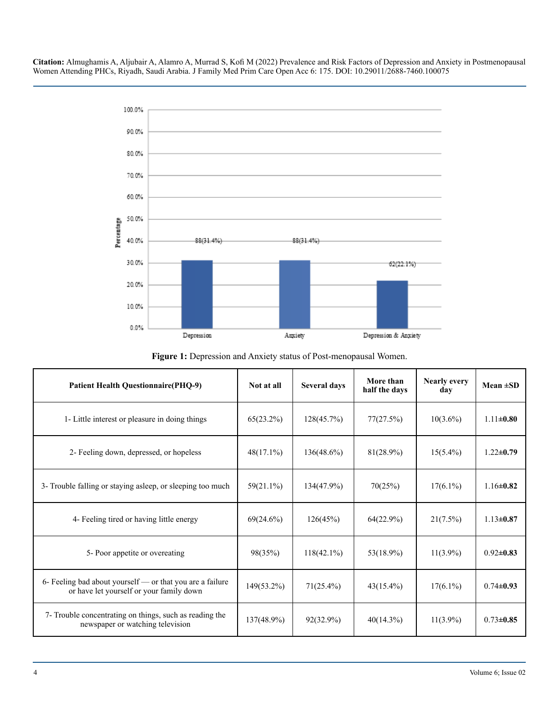

**Figure 1:** Depression and Anxiety status of Post-menopausal Women.

| <b>Patient Health Questionnaire(PHQ-9)</b>                                                            | Not at all    | Several days  | More than<br>half the days | <b>Nearly every</b><br>day | Mean $\pm SD$   |
|-------------------------------------------------------------------------------------------------------|---------------|---------------|----------------------------|----------------------------|-----------------|
| 1- Little interest or pleasure in doing things                                                        | 65(23.2%)     | 128(45.7%)    | 77(27.5%)                  | $10(3.6\%)$                | $1.11 \pm 0.80$ |
| 2- Feeling down, depressed, or hopeless                                                               | $48(17.1\%)$  | $136(48.6\%)$ | $81(28.9\%)$               | $15(5.4\%)$                | $1.22 \pm 0.79$ |
| 3- Trouble falling or staying asleep, or sleeping too much                                            | $59(21.1\%)$  | $134(47.9\%)$ | 70(25%)                    | $17(6.1\%)$                | $1.16 \pm 0.82$ |
| 4- Feeling tired or having little energy                                                              | 69(24.6%)     | 126(45%)      | 64(22.9%)                  | $21(7.5\%)$                | $1.13 \pm 0.87$ |
| 5- Poor appetite or overeating                                                                        | 98(35%)       | $118(42.1\%)$ | $53(18.9\%)$               | $11(3.9\%)$                | $0.92 \pm 0.83$ |
| 6- Feeling bad about yourself — or that you are a failure<br>or have let yourself or your family down | $149(53.2\%)$ | $71(25.4\%)$  | $43(15.4\%)$               | $17(6.1\%)$                | $0.74 \pm 0.93$ |
| 7- Trouble concentrating on things, such as reading the<br>newspaper or watching television           | $137(48.9\%)$ | $92(32.9\%)$  | $40(14.3\%)$               | $11(3.9\%)$                | $0.73 \pm 0.85$ |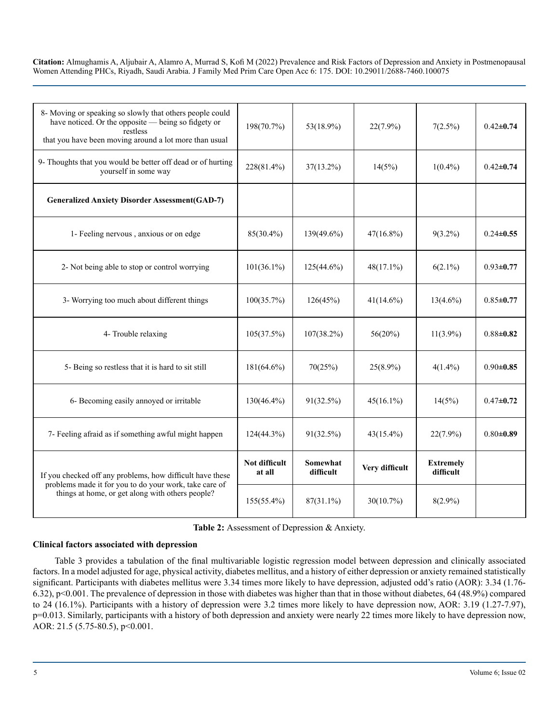| 8- Moving or speaking so slowly that others people could<br>have noticed. Or the opposite — being so fidgety or<br>restless<br>that you have been moving around a lot more than usual | 198(70.7%)              | 53(18.9%)             | $22(7.9\%)$    | 7(2.5%)                       | $0.42 \pm 0.74$ |
|---------------------------------------------------------------------------------------------------------------------------------------------------------------------------------------|-------------------------|-----------------------|----------------|-------------------------------|-----------------|
| 9- Thoughts that you would be better off dead or of hurting<br>yourself in some way                                                                                                   | 228(81.4%)              | $37(13.2\%)$          | 14(5%)         | $1(0.4\%)$                    | $0.42 \pm 0.74$ |
| <b>Generalized Anxiety Disorder Assessment (GAD-7)</b>                                                                                                                                |                         |                       |                |                               |                 |
| 1- Feeling nervous, anxious or on edge                                                                                                                                                | 85(30.4%)               | 139(49.6%)            | $47(16.8\%)$   | $9(3.2\%)$                    | $0.24 \pm 0.55$ |
| 2- Not being able to stop or control worrying                                                                                                                                         | $101(36.1\%)$           | $125(44.6\%)$         | $48(17.1\%)$   | $6(2.1\%)$                    | $0.93 \pm 0.77$ |
| 3- Worrying too much about different things                                                                                                                                           | 100(35.7%)              | 126(45%)              | $41(14.6\%)$   | $13(4.6\%)$                   | $0.85 + 0.77$   |
| 4- Trouble relaxing                                                                                                                                                                   | 105(37.5%)              | $107(38.2\%)$         | $56(20\%)$     | $11(3.9\%)$                   | $0.88 + 0.82$   |
| 5- Being so restless that it is hard to sit still                                                                                                                                     | $181(64.6\%)$           | 70(25%)               | $25(8.9\%)$    | $4(1.4\%)$                    | $0.90 \pm 0.85$ |
| 6- Becoming easily annoyed or irritable                                                                                                                                               | $130(46.4\%)$           | 91(32.5%)             | $45(16.1\%)$   | 14(5%)                        | $0.47 + 0.72$   |
| 7- Feeling afraid as if something awful might happen                                                                                                                                  | $124(44.3\%)$           | 91(32.5%)             | $43(15.4\%)$   | $22(7.9\%)$                   | $0.80 + 0.89$   |
| If you checked off any problems, how difficult have these<br>problems made it for you to do your work, take care of                                                                   | Not difficult<br>at all | Somewhat<br>difficult | Very difficult | <b>Extremely</b><br>difficult |                 |
| things at home, or get along with others people?                                                                                                                                      | $155(55.4\%)$           | $87(31.1\%)$          | 30(10.7%)      | $8(2.9\%)$                    |                 |

**Table 2:** Assessment of Depression & Anxiety.

#### **Clinical factors associated with depression**

Table 3 provides a tabulation of the final multivariable logistic regression model between depression and clinically associated factors. In a model adjusted for age, physical activity, diabetes mellitus, and a history of either depression or anxiety remained statistically significant. Participants with diabetes mellitus were 3.34 times more likely to have depression, adjusted odd's ratio (AOR): 3.34 (1.76-6.32), p<0.001. The prevalence of depression in those with diabetes was higher than that in those without diabetes, 64 (48.9%) compared to 24 (16.1%). Participants with a history of depression were 3.2 times more likely to have depression now, AOR: 3.19 (1.27-7.97), p=0.013. Similarly, participants with a history of both depression and anxiety were nearly 22 times more likely to have depression now, AOR: 21.5 (5.75-80.5), p<0.001.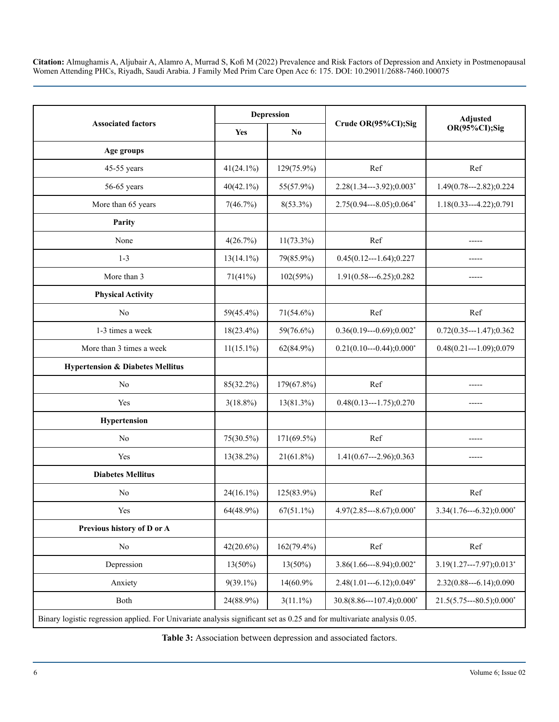|                                                                                                                         | <b>Depression</b> |               |                            | <b>Adjusted</b>           |  |  |
|-------------------------------------------------------------------------------------------------------------------------|-------------------|---------------|----------------------------|---------------------------|--|--|
| <b>Associated factors</b>                                                                                               | Yes               | No            | Crude OR(95%CI);Sig        | OR(95%CI);Sig             |  |  |
| Age groups                                                                                                              |                   |               |                            |                           |  |  |
| 45-55 years                                                                                                             | $41(24.1\%)$      | 129(75.9%)    | Ref                        | Ref                       |  |  |
| 56-65 years                                                                                                             | $40(42.1\%)$      | 55(57.9%)     | $2.28(1.34--3.92);0.003*$  | $1.49(0.78--2.82);0.224$  |  |  |
| More than 65 years                                                                                                      | 7(46.7%)          | $8(53.3\%)$   | $2.75(0.94--8.05);0.064*$  | $1.18(0.33--4.22);0.791$  |  |  |
| Parity                                                                                                                  |                   |               |                            |                           |  |  |
| None                                                                                                                    | 4(26.7%)          | $11(73.3\%)$  | Ref                        | -----                     |  |  |
| $1 - 3$                                                                                                                 | $13(14.1\%)$      | 79(85.9%)     | $0.45(0.12--1.64);0.227$   |                           |  |  |
| More than 3                                                                                                             | 71(41%)           | 102(59%)      | $1.91(0.58--6.25);0.282$   | -----                     |  |  |
| <b>Physical Activity</b>                                                                                                |                   |               |                            |                           |  |  |
| No                                                                                                                      | 59(45.4%)         | $71(54.6\%)$  | Ref                        | Ref                       |  |  |
| 1-3 times a week                                                                                                        | $18(23.4\%)$      | 59(76.6%)     | $0.36(0.19--0.69);0.002*$  | $0.72(0.35--1.47);0.362$  |  |  |
| More than 3 times a week                                                                                                | $11(15.1\%)$      | $62(84.9\%)$  | $0.21(0.10--0.44);0.000*$  | $0.48(0.21--1.09);0.079$  |  |  |
| <b>Hypertension &amp; Diabetes Mellitus</b>                                                                             |                   |               |                            |                           |  |  |
| No                                                                                                                      | 85(32.2%)         | 179(67.8%)    | Ref                        |                           |  |  |
| Yes                                                                                                                     | $3(18.8\%)$       | 13(81.3%)     | $0.48(0.13--1.75);0.270$   | -----                     |  |  |
| Hypertension                                                                                                            |                   |               |                            |                           |  |  |
| No                                                                                                                      | 75(30.5%)         | $171(69.5\%)$ | Ref                        |                           |  |  |
| Yes                                                                                                                     | $13(38.2\%)$      | $21(61.8\%)$  | $1.41(0.67--2.96);0.363$   | -----                     |  |  |
| <b>Diabetes Mellitus</b>                                                                                                |                   |               |                            |                           |  |  |
| N <sub>0</sub>                                                                                                          | $24(16.1\%)$      | 125(83.9%)    | Ref                        | Ref                       |  |  |
| Yes                                                                                                                     | 64(48.9%)         | $67(51.1\%)$  | $4.97(2.85--8.67);0.000*$  | $3.34(1.76--6.32);0.000*$ |  |  |
| Previous history of D or A                                                                                              |                   |               |                            |                           |  |  |
| $\rm No$                                                                                                                | $42(20.6\%)$      | $162(79.4\%)$ | Ref                        | Ref                       |  |  |
| Depression                                                                                                              | $13(50\%)$        | 13(50%)       | $3.86(1.66--8.94);0.002*$  | $3.19(1.27--7.97);0.013*$ |  |  |
| Anxiety                                                                                                                 | $9(39.1\%)$       | 14(60.9%      | $2.48(1.01--6.12);0.049*$  | $2.32(0.88--6.14);0.090$  |  |  |
| Both                                                                                                                    | 24(88.9%)         | $3(11.1\%)$   | $30.8(8.86--107.4);0.000*$ | $21.5(5.75--80.5);0.000*$ |  |  |
| Binary logistic regression applied. For Univariate analysis significant set as 0.25 and for multivariate analysis 0.05. |                   |               |                            |                           |  |  |

**Table 3:** Association between depression and associated factors.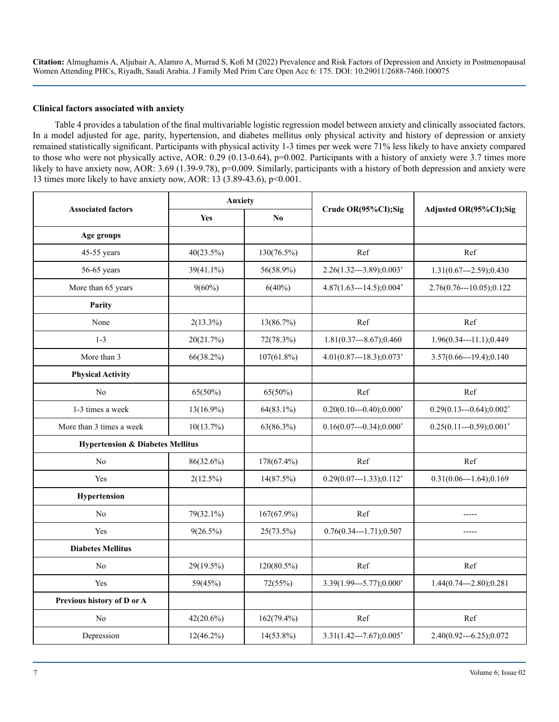#### **Clinical factors associated with anxiety**

Table 4 provides a tabulation of the final multivariable logistic regression model between anxiety and clinically associated factors. In a model adjusted for age, parity, hypertension, and diabetes mellitus only physical activity and history of depression or anxiety remained statistically significant. Participants with physical activity 1-3 times per week were 71% less likely to have anxiety compared to those who were not physically active, AOR: 0.29 (0.13-0.64), p=0.002. Participants with a history of anxiety were 3.7 times more likely to have anxiety now, AOR: 3.69 (1.39-9.78), p=0.009. Similarly, participants with a history of both depression and anxiety were 13 times more likely to have anxiety now, AOR: 13 (3.89-43.6), p<0.001.

| <b>Associated factors</b>                   | <b>Anxiety</b> |                        | Crude OR(95%CI);Sig        | Adjusted OR(95%CI);Sig    |  |
|---------------------------------------------|----------------|------------------------|----------------------------|---------------------------|--|
|                                             | Yes            | $\mathbf{N}\mathbf{0}$ |                            |                           |  |
| Age groups                                  |                |                        |                            |                           |  |
| 45-55 years                                 | 40(23.5%)      | 130(76.5%)             | Ref                        | Ref                       |  |
| 56-65 years                                 | 39(41.1%)      | 56(58.9%)              | $2.26(1.32--3.89);0.003*$  | $1.31(0.67--2.59);0.430$  |  |
| More than 65 years                          | $9(60\%)$      | $6(40\%)$              | $4.87(1.63--14.5);0.004*$  | 2.76(0.76---10.05);0.122  |  |
| Parity                                      |                |                        |                            |                           |  |
| None                                        | $2(13.3\%)$    | 13(86.7%)              | Ref                        | Ref                       |  |
| $1 - 3$                                     | 20(21.7%)      | 72(78.3%)              | $1.81(0.37--8.67);0.460$   | $1.96(0.34--11.1);0.449$  |  |
| More than 3                                 | 66(38.2%)      | $107(61.8\%)$          | $4.01(0.87--18.3);0.073*$  | $3.57(0.66--19.4);0.140$  |  |
| <b>Physical Activity</b>                    |                |                        |                            |                           |  |
| N <sub>0</sub>                              | $65(50\%)$     | $65(50\%)$             | Ref                        | Ref                       |  |
| 1-3 times a week                            | $13(16.9\%)$   | $64(83.1\%)$           | $0.20(0.10--0.40);0.000*$  | $0.29(0.13--0.64);0.002*$ |  |
| More than 3 times a week                    | 10(13.7%)      | 63(86.3%)              | $0.16(0.07--0.34);0.000*$  | $0.25(0.11--0.59);0.001*$ |  |
| <b>Hypertension &amp; Diabetes Mellitus</b> |                |                        |                            |                           |  |
| N <sub>0</sub>                              | 86(32.6%)      | 178(67.4%)             | Ref                        | Ref                       |  |
| Yes                                         | $2(12.5\%)$    | $14(87.5\%)$           | $0.29(0.07--1.33);0.112^*$ | $0.31(0.06--1.64);0.169$  |  |
| Hypertension                                |                |                        |                            |                           |  |
| N <sub>0</sub>                              | 79(32.1%)      | 167(67.9%)             | Ref                        | -----                     |  |
| Yes                                         | $9(26.5\%)$    | 25(73.5%)              | $0.76(0.34--1.71);0.507$   | -----                     |  |
| <b>Diabetes Mellitus</b>                    |                |                        |                            |                           |  |
| N <sub>0</sub>                              | 29(19.5%)      | $120(80.5\%)$          | Ref                        | Ref                       |  |
| Yes                                         | 59(45%)        | 72(55%)                | $3.39(1.99--5.77);0.000*$  | $1.44(0.74--2.80);0.281$  |  |
| Previous history of D or A                  |                |                        |                            |                           |  |
| No                                          | $42(20.6\%)$   | $162(79.4\%)$          | Ref                        | Ref                       |  |
| Depression                                  | $12(46.2\%)$   | $14(53.8\%)$           | $3.31(1.42--7.67);0.005*$  | $2.40(0.92--6.25);0.072$  |  |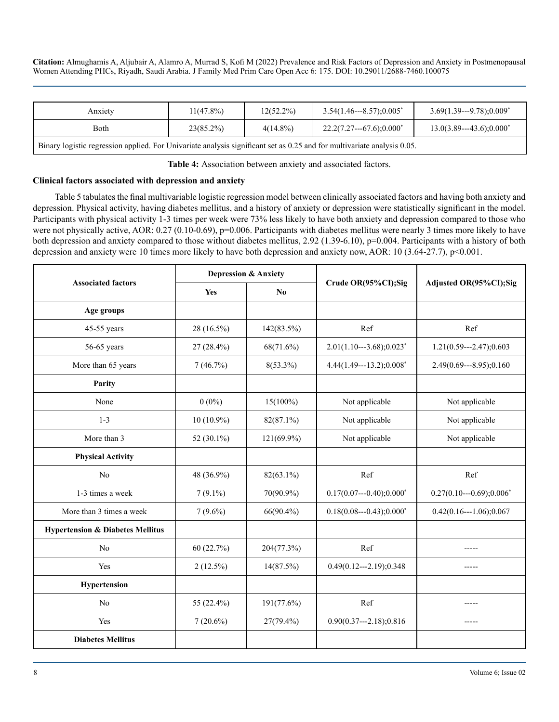| Anxiety                                                                                                                 | $11(47.8\%)$ | $12(52.2\%)$ | $3.54(1.46--8.57):0.005*$ | $3.69(1.39--9.78)$ ;0.009 <sup>*</sup> |  |  |
|-------------------------------------------------------------------------------------------------------------------------|--------------|--------------|---------------------------|----------------------------------------|--|--|
| <b>Both</b>                                                                                                             | $23(85.2\%)$ | $4(14.8\%)$  | $22.2(7.27--67.6);0.000*$ | $13.0(3.89--43.6);0.000*$              |  |  |
| Binary logistic regression applied. For Univariate analysis significant set as 0.25 and for multivariate analysis 0.05. |              |              |                           |                                        |  |  |

**Table 4:** Association between anxiety and associated factors.

#### **Clinical factors associated with depression and anxiety**

Table 5 tabulates the final multivariable logistic regression model between clinically associated factors and having both anxiety and depression. Physical activity, having diabetes mellitus, and a history of anxiety or depression were statistically significant in the model. Participants with physical activity 1-3 times per week were 73% less likely to have both anxiety and depression compared to those who were not physically active, AOR: 0.27 (0.10-0.69), p=0.006. Participants with diabetes mellitus were nearly 3 times more likely to have both depression and anxiety compared to those without diabetes mellitus, 2.92 (1.39-6.10), p=0.004. Participants with a history of both depression and anxiety were 10 times more likely to have both depression and anxiety now, AOR: 10 (3.64-27.7), p<0.001.

| <b>Associated factors</b>                   | <b>Depression &amp; Anxiety</b> |                        | Crude OR(95%CI);Sig       |                           |  |
|---------------------------------------------|---------------------------------|------------------------|---------------------------|---------------------------|--|
|                                             | Yes                             | $\mathbf{N}\mathbf{0}$ |                           | Adjusted OR(95%CI);Sig    |  |
| Age groups                                  |                                 |                        |                           |                           |  |
| 45-55 years                                 | 28 (16.5%)                      | 142(83.5%)             | Ref                       | Ref                       |  |
| 56-65 years                                 | 27 (28.4%)                      | 68(71.6%)              | $2.01(1.10--3.68);0.023*$ | $1.21(0.59--2.47);0.603$  |  |
| More than 65 years                          | 7(46.7%)                        | $8(53.3\%)$            | 4.44(1.49---13.2);0.008*  | $2.49(0.69--8.95);0.160$  |  |
| Parity                                      |                                 |                        |                           |                           |  |
| None                                        | $0(0\%)$                        | $15(100\%)$            | Not applicable            | Not applicable            |  |
| $1 - 3$                                     | $10(10.9\%)$                    | 82(87.1%)              | Not applicable            | Not applicable            |  |
| More than 3                                 | 52 (30.1%)                      | 121(69.9%)             | Not applicable            | Not applicable            |  |
| <b>Physical Activity</b>                    |                                 |                        |                           |                           |  |
| No                                          | 48 (36.9%)                      | $82(63.1\%)$           | Ref                       | Ref                       |  |
| 1-3 times a week                            | $7(9.1\%)$                      | 70(90.9%)              | $0.17(0.07--0.40);0.000*$ | $0.27(0.10--0.69);0.006*$ |  |
| More than 3 times a week                    | $7(9.6\%)$                      | $66(90.4\%)$           | $0.18(0.08--0.43);0.000*$ | $0.42(0.16---1.06);0.067$ |  |
| <b>Hypertension &amp; Diabetes Mellitus</b> |                                 |                        |                           |                           |  |
| No                                          | 60(22.7%)                       | 204(77.3%)             | Ref                       |                           |  |
| Yes                                         | $2(12.5\%)$                     | 14(87.5%)              | $0.49(0.12--2.19); 0.348$ | $- - - - -$               |  |
| Hypertension                                |                                 |                        |                           |                           |  |
| No                                          | 55 (22.4%)                      | 191(77.6%)             | Ref                       | -----                     |  |
| Yes                                         | $7(20.6\%)$                     | $27(79.4\%)$           | $0.90(0.37--2.18);0.816$  |                           |  |
| <b>Diabetes Mellitus</b>                    |                                 |                        |                           |                           |  |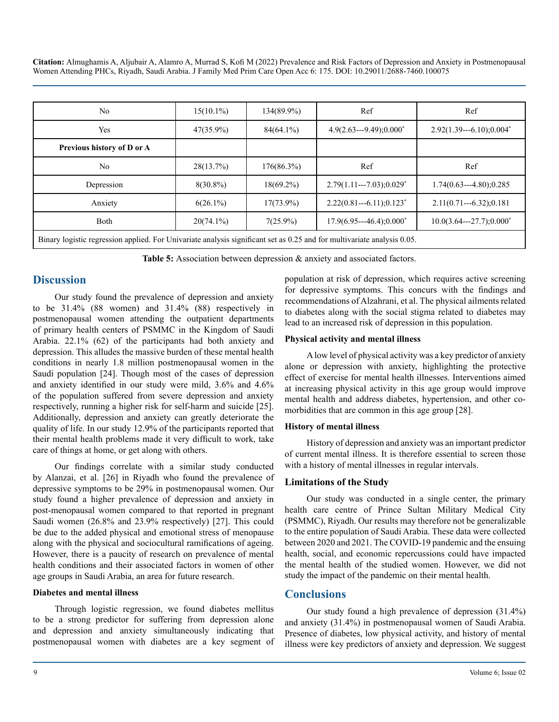| No                                                                                                                      | $15(10.1\%)$ | 134(89.9%)   | Ref                          | Ref                        |  |
|-------------------------------------------------------------------------------------------------------------------------|--------------|--------------|------------------------------|----------------------------|--|
| Yes                                                                                                                     | $47(35.9\%)$ | $84(64.1\%)$ | $4.9(2.63--9.49)$ ; $0.000*$ | $2.92(1.39--6.10);0.004*$  |  |
| Previous history of D or A                                                                                              |              |              |                              |                            |  |
| N <sub>0</sub>                                                                                                          | $28(13.7\%)$ | 176(86.3%)   | Ref                          | Ref                        |  |
| Depression                                                                                                              | $8(30.8\%)$  | $18(69.2\%)$ | $2.79(1.11---7.03):0.029*$   | $1.74(0.63--4.80)$ ; 0.285 |  |
| Anxiety                                                                                                                 | $6(26.1\%)$  | $17(73.9\%)$ | $2.22(0.81--6.11);0.123^*$   | $2.11(0.71--6.32):0.181$   |  |
| Both                                                                                                                    | $20(74.1\%)$ | $7(25.9\%)$  | $17.9(6.95--46.4);0.000*$    | $10.0(3.64--27.7);0.000*$  |  |
| Binary logistic regression applied. For Univariate analysis significant set as 0.25 and for multivariate analysis 0.05. |              |              |                              |                            |  |

**Table 5:** Association between depression & anxiety and associated factors.

# **Discussion**

Our study found the prevalence of depression and anxiety to be 31.4% (88 women) and 31.4% (88) respectively in postmenopausal women attending the outpatient departments of primary health centers of PSMMC in the Kingdom of Saudi Arabia. 22.1% (62) of the participants had both anxiety and depression. This alludes the massive burden of these mental health conditions in nearly 1.8 million postmenopausal women in the Saudi population [24]. Though most of the cases of depression and anxiety identified in our study were mild, 3.6% and 4.6% of the population suffered from severe depression and anxiety respectively, running a higher risk for self-harm and suicide [25]. Additionally, depression and anxiety can greatly deteriorate the quality of life. In our study 12.9% of the participants reported that their mental health problems made it very difficult to work, take care of things at home, or get along with others.

Our findings correlate with a similar study conducted by Alanzai, et al. [26] in Riyadh who found the prevalence of depressive symptoms to be 29% in postmenopausal women. Our study found a higher prevalence of depression and anxiety in post-menopausal women compared to that reported in pregnant Saudi women (26.8% and 23.9% respectively) [27]. This could be due to the added physical and emotional stress of menopause along with the physical and sociocultural ramifications of ageing. However, there is a paucity of research on prevalence of mental health conditions and their associated factors in women of other age groups in Saudi Arabia, an area for future research.

#### **Diabetes and mental illness**

Through logistic regression, we found diabetes mellitus to be a strong predictor for suffering from depression alone and depression and anxiety simultaneously indicating that postmenopausal women with diabetes are a key segment of population at risk of depression, which requires active screening for depressive symptoms. This concurs with the findings and recommendations of Alzahrani, et al. The physical ailments related to diabetes along with the social stigma related to diabetes may lead to an increased risk of depression in this population.

#### **Physical activity and mental illness**

A low level of physical activity was a key predictor of anxiety alone or depression with anxiety, highlighting the protective effect of exercise for mental health illnesses. Interventions aimed at increasing physical activity in this age group would improve mental health and address diabetes, hypertension, and other comorbidities that are common in this age group [28].

#### **History of mental illness**

History of depression and anxiety was an important predictor of current mental illness. It is therefore essential to screen those with a history of mental illnesses in regular intervals.

## **Limitations of the Study**

Our study was conducted in a single center, the primary health care centre of Prince Sultan Military Medical City (PSMMC), Riyadh. Our results may therefore not be generalizable to the entire population of Saudi Arabia. These data were collected between 2020 and 2021. The COVID-19 pandemic and the ensuing health, social, and economic repercussions could have impacted the mental health of the studied women. However, we did not study the impact of the pandemic on their mental health.

# **Conclusions**

Our study found a high prevalence of depression (31.4%) and anxiety (31.4%) in postmenopausal women of Saudi Arabia. Presence of diabetes, low physical activity, and history of mental illness were key predictors of anxiety and depression. We suggest